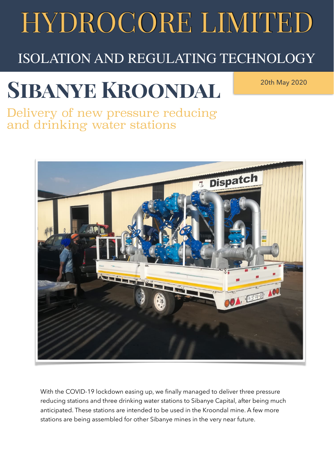## HYDROCORE LIMITED

#### ISOLATION AND REGULATING TECHNOLOGY

### **Sibanye Kroondal**

20th May 2020

Delivery of new pressure reducing and drinking water stations



With the COVID-19 lockdown easing up, we finally managed to deliver three pressure reducing stations and three drinking water stations to Sibanye Capital, after being much anticipated. These stations are intended to be used in the Kroondal mine. A few more stations are being assembled for other Sibanye mines in the very near future.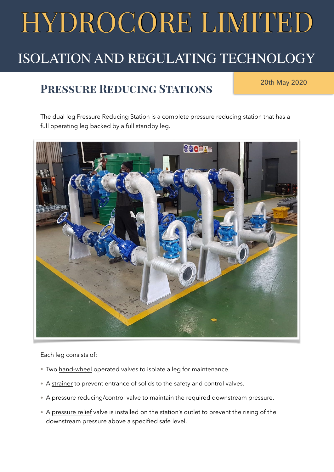## HYDROCORE LIMITED

#### ISOLATION AND REGULATING TECHNOLOGY

#### **PRESSURE REDUCING STATIONS** 20th May 2020

The [dual leg Pressure Reducing Station](https://055e923f-2887-4ad5-b043-62f70578aaef.filesusr.com/ugd/a2529d_5be6bede6cc64eaebf4210b258ce2e35.pdf) is a complete pressure reducing station that has a full operating leg backed by a full standby leg.



Each leg consists of:

- Two [hand-wheel](https://055e923f-2887-4ad5-b043-62f70578aaef.filesusr.com/ugd/a2529d_38eeb5f149a745dc86520c00ae970289.pdf) operated valves to isolate a leg for maintenance.
- A [strainer](https://055e923f-2887-4ad5-b043-62f70578aaef.filesusr.com/ugd/a2529d_b42d5d6c68d24cd49076a2402ecea371.pdf) to prevent entrance of solids to the safety and control valves.
- A [pressure reducing/control](https://055e923f-2887-4ad5-b043-62f70578aaef.filesusr.com/ugd/a2529d_58d3d75687a643e2bbab1ff3de3df75c.pdf) valve to maintain the required downstream pressure.
- A [pressure relief](https://055e923f-2887-4ad5-b043-62f70578aaef.filesusr.com/ugd/a2529d_3f243bdaea1a482b8e9e0e5b03ce7fab.pdf) valve is installed on the station's outlet to prevent the rising of the downstream pressure above a specified safe level.